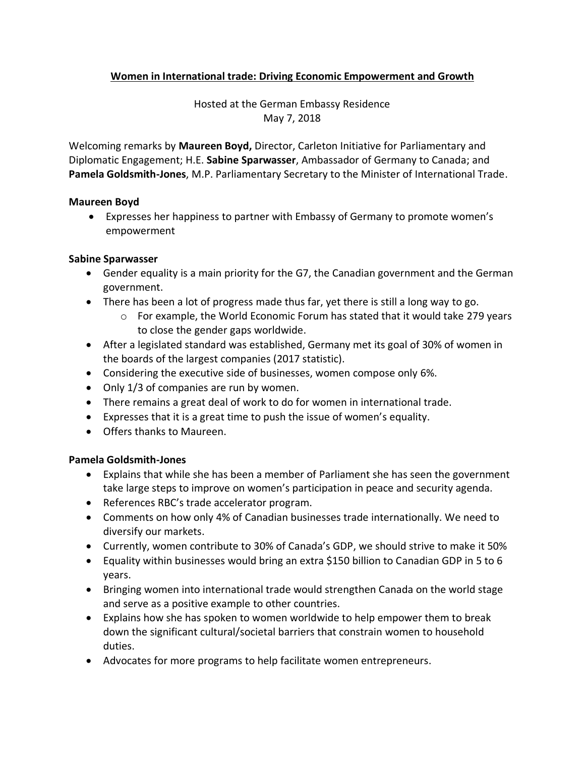# **Women in International trade: Driving Economic Empowerment and Growth**

Hosted at the German Embassy Residence May 7, 2018

Welcoming remarks by **Maureen Boyd,** Director, Carleton Initiative for Parliamentary and Diplomatic Engagement; H.E. **Sabine Sparwasser**, Ambassador of Germany to Canada; and **Pamela Goldsmith-Jones**, M.P. Parliamentary Secretary to the Minister of International Trade.

#### **Maureen Boyd**

• Expresses her happiness to partner with Embassy of Germany to promote women's empowerment

#### **Sabine Sparwasser**

- Gender equality is a main priority for the G7, the Canadian government and the German government.
- There has been a lot of progress made thus far, yet there is still a long way to go.
	- $\circ$  For example, the World Economic Forum has stated that it would take 279 years to close the gender gaps worldwide.
- After a legislated standard was established, Germany met its goal of 30% of women in the boards of the largest companies (2017 statistic).
- Considering the executive side of businesses, women compose only 6%.
- Only 1/3 of companies are run by women.
- There remains a great deal of work to do for women in international trade.
- Expresses that it is a great time to push the issue of women's equality.
- Offers thanks to Maureen.

## **Pamela Goldsmith-Jones**

- Explains that while she has been a member of Parliament she has seen the government take large steps to improve on women's participation in peace and security agenda.
- References RBC's trade accelerator program.
- Comments on how only 4% of Canadian businesses trade internationally. We need to diversify our markets.
- Currently, women contribute to 30% of Canada's GDP, we should strive to make it 50%
- Equality within businesses would bring an extra \$150 billion to Canadian GDP in 5 to 6 years.
- Bringing women into international trade would strengthen Canada on the world stage and serve as a positive example to other countries.
- Explains how she has spoken to women worldwide to help empower them to break down the significant cultural/societal barriers that constrain women to household duties.
- Advocates for more programs to help facilitate women entrepreneurs.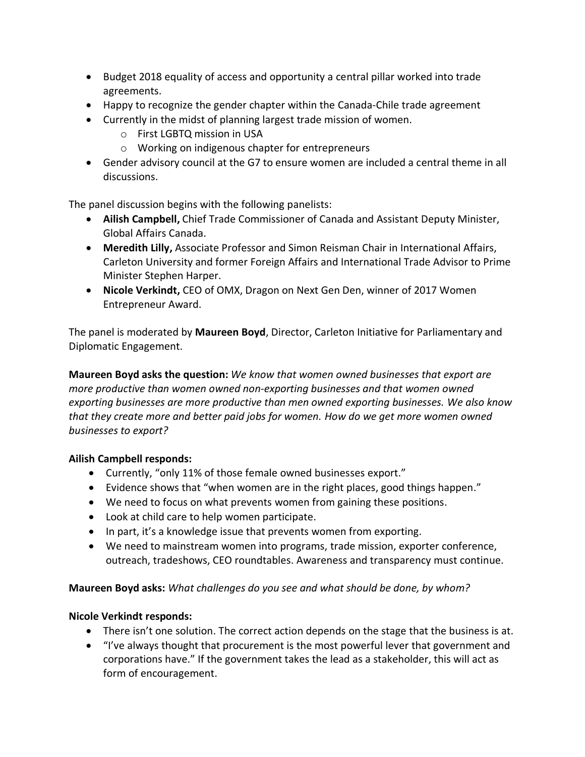- Budget 2018 equality of access and opportunity a central pillar worked into trade agreements.
- Happy to recognize the gender chapter within the Canada-Chile trade agreement
- Currently in the midst of planning largest trade mission of women.
	- o First LGBTQ mission in USA
	- o Working on indigenous chapter for entrepreneurs
- Gender advisory council at the G7 to ensure women are included a central theme in all discussions.

The panel discussion begins with the following panelists:

- **Ailish Campbell,** Chief Trade Commissioner of Canada and Assistant Deputy Minister, Global Affairs Canada.
- **Meredith Lilly,** Associate Professor and Simon Reisman Chair in International Affairs, Carleton University and former Foreign Affairs and International Trade Advisor to Prime Minister Stephen Harper.
- **Nicole Verkindt,** CEO of OMX, Dragon on Next Gen Den, winner of 2017 Women Entrepreneur Award.

The panel is moderated by **Maureen Boyd**, Director, Carleton Initiative for Parliamentary and Diplomatic Engagement.

**Maureen Boyd asks the question:** *We know that women owned businesses that export are more productive than women owned non-exporting businesses and that women owned exporting businesses are more productive than men owned exporting businesses. We also know that they create more and better paid jobs for women. How do we get more women owned businesses to export?*

## **Ailish Campbell responds:**

- Currently, "only 11% of those female owned businesses export."
- Evidence shows that "when women are in the right places, good things happen."
- We need to focus on what prevents women from gaining these positions.
- Look at child care to help women participate.
- In part, it's a knowledge issue that prevents women from exporting.
- We need to mainstream women into programs, trade mission, exporter conference, outreach, tradeshows, CEO roundtables. Awareness and transparency must continue.

## **Maureen Boyd asks:** *What challenges do you see and what should be done, by whom?*

## **Nicole Verkindt responds:**

- There isn't one solution. The correct action depends on the stage that the business is at.
- "I've always thought that procurement is the most powerful lever that government and corporations have." If the government takes the lead as a stakeholder, this will act as form of encouragement.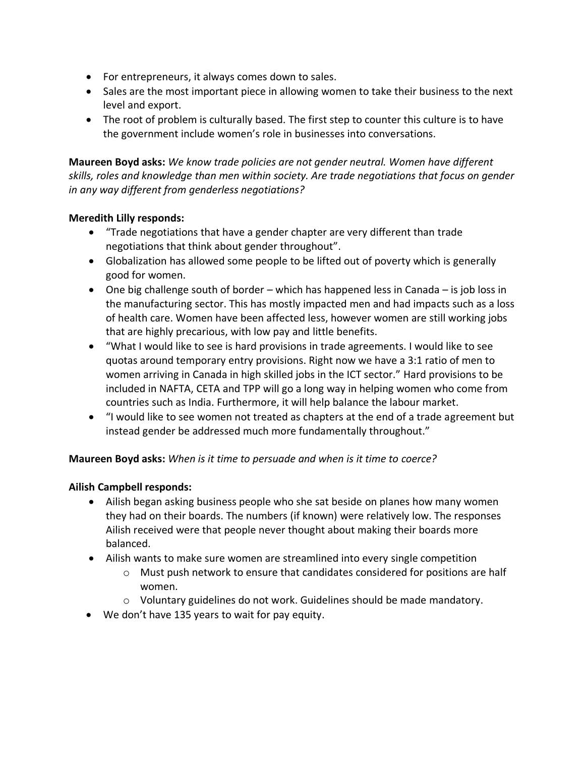- For entrepreneurs, it always comes down to sales.
- Sales are the most important piece in allowing women to take their business to the next level and export.
- The root of problem is culturally based. The first step to counter this culture is to have the government include women's role in businesses into conversations.

**Maureen Boyd asks:** *We know trade policies are not gender neutral. Women have different skills, roles and knowledge than men within society. Are trade negotiations that focus on gender in any way different from genderless negotiations?*

## **Meredith Lilly responds:**

- "Trade negotiations that have a gender chapter are very different than trade negotiations that think about gender throughout".
- Globalization has allowed some people to be lifted out of poverty which is generally good for women.
- One big challenge south of border which has happened less in Canada is job loss in the manufacturing sector. This has mostly impacted men and had impacts such as a loss of health care. Women have been affected less, however women are still working jobs that are highly precarious, with low pay and little benefits.
- "What I would like to see is hard provisions in trade agreements. I would like to see quotas around temporary entry provisions. Right now we have a 3:1 ratio of men to women arriving in Canada in high skilled jobs in the ICT sector." Hard provisions to be included in NAFTA, CETA and TPP will go a long way in helping women who come from countries such as India. Furthermore, it will help balance the labour market.
- "I would like to see women not treated as chapters at the end of a trade agreement but instead gender be addressed much more fundamentally throughout."

## **Maureen Boyd asks:** *When is it time to persuade and when is it time to coerce?*

## **Ailish Campbell responds:**

- Ailish began asking business people who she sat beside on planes how many women they had on their boards. The numbers (if known) were relatively low. The responses Ailish received were that people never thought about making their boards more balanced.
- Ailish wants to make sure women are streamlined into every single competition
	- o Must push network to ensure that candidates considered for positions are half women.
	- o Voluntary guidelines do not work. Guidelines should be made mandatory.
- We don't have 135 years to wait for pay equity.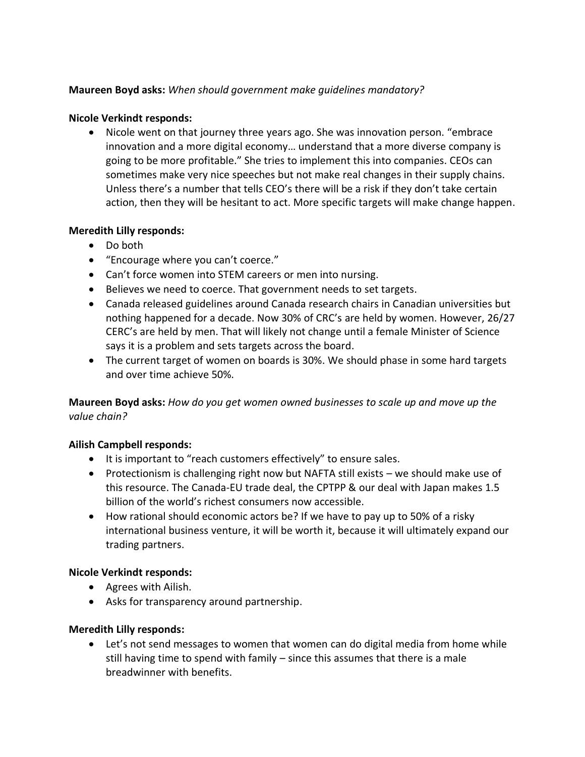#### **Maureen Boyd asks:** *When should government make guidelines mandatory?*

#### **Nicole Verkindt responds:**

• Nicole went on that journey three years ago. She was innovation person. "embrace innovation and a more digital economy… understand that a more diverse company is going to be more profitable." She tries to implement this into companies. CEOs can sometimes make very nice speeches but not make real changes in their supply chains. Unless there's a number that tells CEO's there will be a risk if they don't take certain action, then they will be hesitant to act. More specific targets will make change happen.

#### **Meredith Lilly responds:**

- Do both
- "Encourage where you can't coerce."
- Can't force women into STEM careers or men into nursing.
- Believes we need to coerce. That government needs to set targets.
- Canada released guidelines around Canada research chairs in Canadian universities but nothing happened for a decade. Now 30% of CRC's are held by women. However, 26/27 CERC's are held by men. That will likely not change until a female Minister of Science says it is a problem and sets targets across the board.
- The current target of women on boards is 30%. We should phase in some hard targets and over time achieve 50%.

**Maureen Boyd asks:** *How do you get women owned businesses to scale up and move up the value chain?*

## **Ailish Campbell responds:**

- It is important to "reach customers effectively" to ensure sales.
- Protectionism is challenging right now but NAFTA still exists we should make use of this resource. The Canada-EU trade deal, the CPTPP & our deal with Japan makes 1.5 billion of the world's richest consumers now accessible.
- How rational should economic actors be? If we have to pay up to 50% of a risky international business venture, it will be worth it, because it will ultimately expand our trading partners.

## **Nicole Verkindt responds:**

- Agrees with Ailish.
- Asks for transparency around partnership.

#### **Meredith Lilly responds:**

• Let's not send messages to women that women can do digital media from home while still having time to spend with family – since this assumes that there is a male breadwinner with benefits.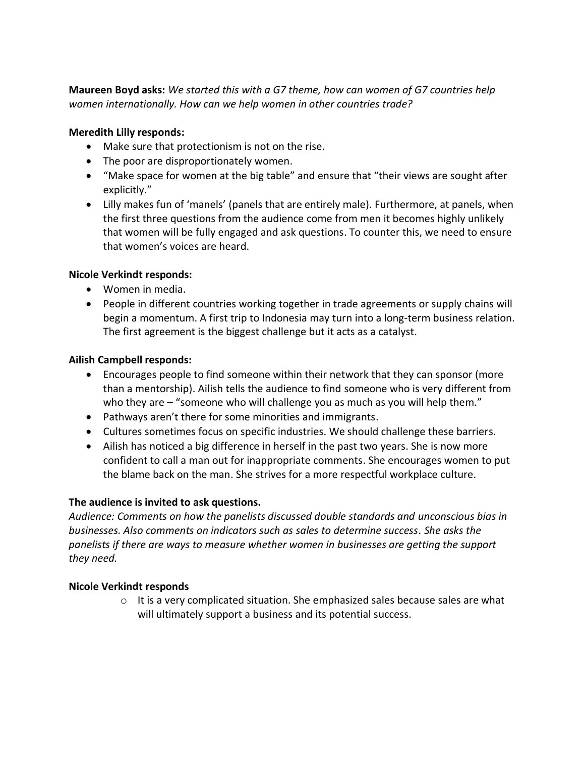**Maureen Boyd asks:** *We started this with a G7 theme, how can women of G7 countries help women internationally. How can we help women in other countries trade?*

#### **Meredith Lilly responds:**

- Make sure that protectionism is not on the rise.
- The poor are disproportionately women.
- "Make space for women at the big table" and ensure that "their views are sought after explicitly."
- Lilly makes fun of 'manels' (panels that are entirely male). Furthermore, at panels, when the first three questions from the audience come from men it becomes highly unlikely that women will be fully engaged and ask questions. To counter this, we need to ensure that women's voices are heard.

## **Nicole Verkindt responds:**

- Women in media.
- People in different countries working together in trade agreements or supply chains will begin a momentum. A first trip to Indonesia may turn into a long-term business relation. The first agreement is the biggest challenge but it acts as a catalyst.

#### **Ailish Campbell responds:**

- Encourages people to find someone within their network that they can sponsor (more than a mentorship). Ailish tells the audience to find someone who is very different from who they are – "someone who will challenge you as much as you will help them."
- Pathways aren't there for some minorities and immigrants.
- Cultures sometimes focus on specific industries. We should challenge these barriers.
- Ailish has noticed a big difference in herself in the past two years. She is now more confident to call a man out for inappropriate comments. She encourages women to put the blame back on the man. She strives for a more respectful workplace culture.

## **The audience is invited to ask questions.**

*Audience: Comments on how the panelists discussed double standards and unconscious bias in businesses. Also comments on indicators such as sales to determine success. She asks the panelists if there are ways to measure whether women in businesses are getting the support they need.*

#### **Nicole Verkindt responds**

 $\circ$  It is a very complicated situation. She emphasized sales because sales are what will ultimately support a business and its potential success.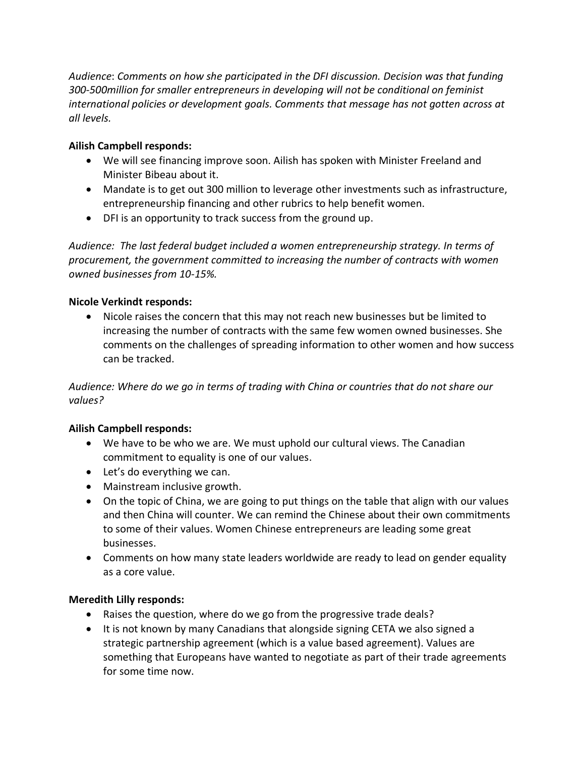*Audience*: *Comments on how she participated in the DFI discussion. Decision was that funding 300-500million for smaller entrepreneurs in developing will not be conditional on feminist international policies or development goals. Comments that message has not gotten across at all levels.* 

# **Ailish Campbell responds:**

- We will see financing improve soon. Ailish has spoken with Minister Freeland and Minister Bibeau about it.
- Mandate is to get out 300 million to leverage other investments such as infrastructure, entrepreneurship financing and other rubrics to help benefit women.
- DFI is an opportunity to track success from the ground up.

*Audience: The last federal budget included a women entrepreneurship strategy. In terms of procurement, the government committed to increasing the number of contracts with women owned businesses from 10-15%.* 

## **Nicole Verkindt responds:**

• Nicole raises the concern that this may not reach new businesses but be limited to increasing the number of contracts with the same few women owned businesses. She comments on the challenges of spreading information to other women and how success can be tracked.

*Audience: Where do we go in terms of trading with China or countries that do not share our values?* 

## **Ailish Campbell responds:**

- We have to be who we are. We must uphold our cultural views. The Canadian commitment to equality is one of our values.
- Let's do everything we can.
- Mainstream inclusive growth.
- On the topic of China, we are going to put things on the table that align with our values and then China will counter. We can remind the Chinese about their own commitments to some of their values. Women Chinese entrepreneurs are leading some great businesses.
- Comments on how many state leaders worldwide are ready to lead on gender equality as a core value.

## **Meredith Lilly responds:**

- Raises the question, where do we go from the progressive trade deals?
- It is not known by many Canadians that alongside signing CETA we also signed a strategic partnership agreement (which is a value based agreement). Values are something that Europeans have wanted to negotiate as part of their trade agreements for some time now.